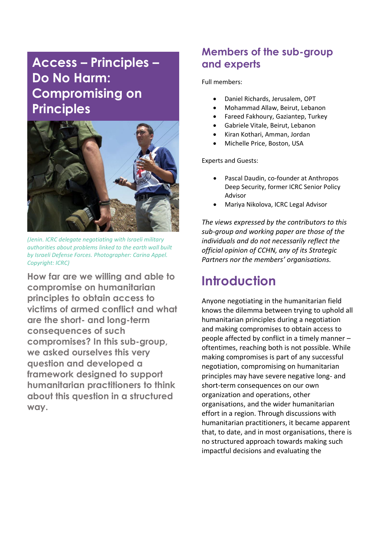# **Access – Principles – Do No Harm: Compromising on Principles**



*(Jenin. ICRC delegate negotiating with Israeli military authorities about problems linked to the earth wall built by Israeli Defense Forces. Photographer: Carina Appel. Copyright: ICRC)*

**How far are we willing and able to compromise on humanitarian principles to obtain access to victims of armed conflict and what are the short- and long-term consequences of such compromises? In this sub-group, we asked ourselves this very question and developed a framework designed to support humanitarian practitioners to think about this question in a structured way.**

# **Members of the sub-group and experts**

Full members:

- Daniel Richards, Jerusalem, OPT
- Mohammad Allaw, Beirut, Lebanon
- Fareed Fakhoury, Gaziantep, Turkey
- Gabriele Vitale, Beirut, Lebanon
- Kiran Kothari, Amman, Jordan
- Michelle Price, Boston, USA

Experts and Guests:

- Pascal Daudin, co-founder at Anthropos Deep Security, former ICRC Senior Policy Advisor
- Mariya Nikolova, ICRC Legal Advisor

*The views expressed by the contributors to this sub-group and working paper are those of the individuals and do not necessarily reflect the official opinion of CCHN, any of its Strategic Partners nor the members' organisations.*

# **Introduction**

Anyone negotiating in the humanitarian field knows the dilemma between trying to uphold all humanitarian principles during a negotiation and making compromises to obtain access to people affected by conflict in a timely manner – oftentimes, reaching both is not possible. While making compromises is part of any successful negotiation, compromising on humanitarian principles may have severe negative long- and short-term consequences on our own organization and operations, other organisations, and the wider humanitarian effort in a region. Through discussions with humanitarian practitioners, it became apparent that, to date, and in most organisations, there is no structured approach towards making such impactful decisions and evaluating the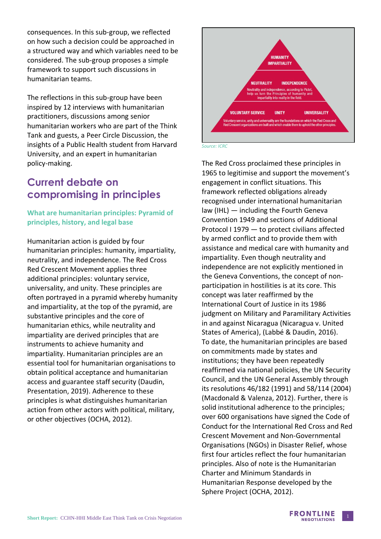consequences. In this sub-group, we reflected on how such a decision could be approached in a structured way and which variables need to be considered. The sub-group proposes a simple framework to support such discussions in humanitarian teams.

The reflections in this sub-group have been inspired by 12 interviews with humanitarian practitioners, discussions among senior humanitarian workers who are part of the Think Tank and guests, a Peer Circle Discussion, the insights of a Public Health student from Harvard University, and an expert in humanitarian policy-making.

## **Current debate on compromising in principles**

### **What are humanitarian principles: Pyramid of principles, history, and legal base**

Humanitarian action is guided by four humanitarian principles: humanity, impartiality, neutrality, and independence. The Red Cross Red Crescent Movement applies three additional principles: voluntary service, universality, and unity. These principles are often portrayed in a pyramid whereby humanity and impartiality, at the top of the pyramid, are substantive principles and the core of humanitarian ethics, while neutrality and impartiality are derived principles that are instruments to achieve humanity and impartiality. Humanitarian principles are an essential tool for humanitarian organisations to obtain political acceptance and humanitarian access and guarantee staff security (Daudin, Presentation, 2019). Adherence to these principles is what distinguishes humanitarian action from other actors with political, military, or other objectives (OCHA, 2012).



*Source: ICRC*

The Red Cross proclaimed these principles in 1965 to legitimise and support the movement's engagement in conflict situations. This framework reflected obligations already recognised under international humanitarian law (IHL) — including the Fourth Geneva Convention 1949 and sections of Additional Protocol I 1979 — to protect civilians affected by armed conflict and to provide them with assistance and medical care with humanity and impartiality. Even though neutrality and independence are not explicitly mentioned in the Geneva Conventions, the concept of nonparticipation in hostilities is at its core. This concept was later reaffirmed by the International Court of Justice in its 1986 judgment on Military and Paramilitary Activities in and against Nicaragua (Nicaragua v. United States of America), (Labbé & Daudin, 2016). To date, the humanitarian principles are based on commitments made by states and institutions; they have been repeatedly reaffirmed via national policies, the UN Security Council, and the UN General Assembly through its resolutions 46/182 (1991) and 58/114 (2004) (Macdonald & Valenza, 2012). Further, there is solid institutional adherence to the principles; over 600 organisations have signed the Code of Conduct for the International Red Cross and Red Crescent Movement and Non-Governmental Organisations (NGOs) in Disaster Relief, whose first four articles reflect the four humanitarian principles. Also of note is the Humanitarian Charter and Minimum Standards in Humanitarian Response developed by the Sphere Project (OCHA, 2012).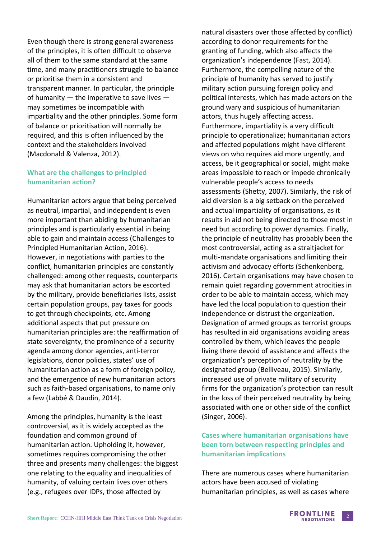Even though there is strong general awareness of the principles, it is often difficult to observe all of them to the same standard at the same time, and many practitioners struggle to balance or prioritise them in a consistent and transparent manner. In particular, the principle of humanity — the imperative to save lives may sometimes be incompatible with impartiality and the other principles. Some form of balance or prioritisation will normally be required, and this is often influenced by the context and the stakeholders involved (Macdonald & Valenza, 2012).

### **What are the challenges to principled humanitarian action?**

Humanitarian actors argue that being perceived as neutral, impartial, and independent is even more important than abiding by humanitarian principles and is particularly essential in being able to gain and maintain access (Challenges to Principled Humanitarian Action, 2016). However, in negotiations with parties to the conflict, humanitarian principles are constantly challenged: among other requests, counterparts may ask that humanitarian actors be escorted by the military, provide beneficiaries lists, assist certain population groups, pay taxes for goods to get through checkpoints, etc. Among additional aspects that put pressure on humanitarian principles are: the reaffirmation of state sovereignty, the prominence of a security agenda among donor agencies, anti-terror legislations, donor policies, states' use of humanitarian action as a form of foreign policy, and the emergence of new humanitarian actors such as faith-based organisations, to name only a few (Labbé & Daudin, 2014).

Among the principles, humanity is the least controversial, as it is widely accepted as the foundation and common ground of humanitarian action. Upholding it, however, sometimes requires compromising the other three and presents many challenges: the biggest one relating to the equality and inequalities of humanity, of valuing certain lives over others (e.g., refugees over IDPs, those affected by

natural disasters over those affected by conflict) according to donor requirements for the granting of funding, which also affects the organization's independence (Fast, 2014). Furthermore, the compelling nature of the principle of humanity has served to justify military action pursuing foreign policy and political interests, which has made actors on the ground wary and suspicious of humanitarian actors, thus hugely affecting access. Furthermore, impartiality is a very difficult principle to operationalize; humanitarian actors and affected populations might have different views on who requires aid more urgently, and access, be it geographical or social, might make areas impossible to reach or impede chronically vulnerable people's access to needs assessments (Shetty, 2007). Similarly, the risk of aid diversion is a big setback on the perceived and actual impartiality of organisations, as it results in aid not being directed to those most in need but according to power dynamics. Finally, the principle of neutrality has probably been the most controversial, acting as a straitjacket for multi-mandate organisations and limiting their activism and advocacy efforts (Schenkenberg, 2016). Certain organisations may have chosen to remain quiet regarding government atrocities in order to be able to maintain access, which may have led the local population to question their independence or distrust the organization. Designation of armed groups as terrorist groups has resulted in aid organisations avoiding areas controlled by them, which leaves the people living there devoid of assistance and affects the organization's perception of neutrality by the designated group (Belliveau, 2015). Similarly, increased use of private military of security firms for the organization's protection can result in the loss of their perceived neutrality by being associated with one or other side of the conflict (Singer, 2006).

### **Cases where humanitarian organisations have been torn between respecting principles and humanitarian implications**

There are numerous cases where humanitarian actors have been accused of violating humanitarian principles, as well as cases where

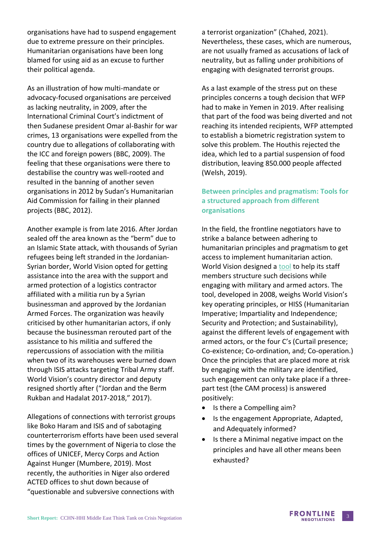organisations have had to suspend engagement due to extreme pressure on their principles. Humanitarian organisations have been long blamed for using aid as an excuse to further their political agenda.

As an illustration of how multi-mandate or advocacy-focused organisations are perceived as lacking neutrality, in 2009, after the International Criminal Court's indictment of then Sudanese president Omar al-Bashir for war crimes, 13 organisations were expelled from the country due to allegations of collaborating with the ICC and foreign powers (BBC, 2009). The feeling that these organisations were there to destabilise the country was well-rooted and resulted in the banning of another seven organisations in 2012 by Sudan's Humanitarian Aid Commission for failing in their planned projects (BBC, 2012).

Another example is from late 2016. After Jordan sealed off the area known as the "berm" due to an Islamic State attack, with thousands of Syrian refugees being left stranded in the Jordanian-Syrian border, World Vision opted for getting assistance into the area with the support and armed protection of a logistics contractor affiliated with a militia run by a Syrian businessman and approved by the Jordanian Armed Forces. The organization was heavily criticised by other humanitarian actors, if only because the businessman rerouted part of the assistance to his militia and suffered the repercussions of association with the militia when two of its warehouses were burned down through ISIS attacks targeting Tribal Army staff. World Vision's country director and deputy resigned shortly after ("Jordan and the Berm Rukban and Hadalat 2017-2018," 2017).

Allegations of connections with terrorist groups like Boko Haram and ISIS and of sabotaging counterterrorism efforts have been used several times by the government of Nigeria to close the offices of UNICEF, Mercy Corps and Action Against Hunger (Mumbere, 2019). Most recently, the authorities in Niger also ordered ACTED offices to shut down because of "questionable and subversive connections with

a terrorist organization" (Chahed, 2021). Nevertheless, these cases, which are numerous, are not usually framed as accusations of lack of neutrality, but as falling under prohibitions of engaging with designated terrorist groups.

As a last example of the stress put on these principles concerns a tough decision that WFP had to make in Yemen in 2019. After realising that part of the food was being diverted and not reaching its intended recipients, WFP attempted to establish a biometric registration system to solve this problem. The Houthis rejected the idea, which led to a partial suspension of food distribution, leaving 850.000 people affected (Welsh, 2019).

### **Between principles and pragmatism: Tools for a structured approach from different organisations**

In the field, the frontline negotiators have to strike a balance between adhering to humanitarian principles and pragmatism to get access to implement humanitarian action. World Vision designed a [tool](https://www.humanitarianlibrary.org/sites/default/files/2014/10/HISS-CAM_Explanation.pdf) to help its staff members structure such decisions while engaging with military and armed actors. The tool, developed in 2008, weighs World Vision's key operating principles, or HISS (Humanitarian Imperative; Impartiality and Independence; Security and Protection; and Sustainability), against the different levels of engagement with armed actors, or the four C's (Curtail presence; Co-existence; Co-ordination, and; Co-operation.) Once the principles that are placed more at risk by engaging with the military are identified, such engagement can only take place if a threepart test (the CAM process) is answered positively:

- Is there a Compelling aim?
- Is the engagement Appropriate, Adapted, and Adequately informed?
- Is there a Minimal negative impact on the principles and have all other means been exhausted?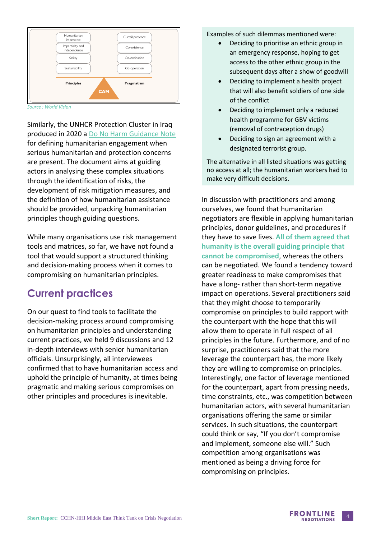

*Source : World Vision*

Similarly, the UNHCR Protection Cluster in Iraq produced in 2020 a [Do No Harm Guidance Note](https://www.humanitarianresponse.info/sites/www.humanitarianresponse.info/files/documents/files/do_no_harm_guidance_note-rev_2.pdf) for defining humanitarian engagement when serious humanitarian and protection concerns are present. The document aims at guiding actors in analysing these complex situations through the identification of risks, the development of risk mitigation measures, and the definition of how humanitarian assistance should be provided, unpacking humanitarian principles though guiding questions.

While many organisations use risk management tools and matrices, so far, we have not found a tool that would support a structured thinking and decision-making process when it comes to compromising on humanitarian principles.

## **Current practices**

On our quest to find tools to facilitate the decision-making process around compromising on humanitarian principles and understanding current practices, we held 9 discussions and 12 in-depth interviews with senior humanitarian officials. Unsurprisingly, all interviewees confirmed that to have humanitarian access and uphold the principle of humanity, at times being pragmatic and making serious compromises on other principles and procedures is inevitable.

Examples of such dilemmas mentioned were:

- Deciding to prioritise an ethnic group in an emergency response, hoping to get access to the other ethnic group in the subsequent days after a show of goodwill
- Deciding to implement a health project that will also benefit soldiers of one side of the conflict
- Deciding to implement only a reduced health programme for GBV victims (removal of contraception drugs)
- Deciding to sign an agreement with a designated terrorist group.

The alternative in all listed situations was getting no access at all; the humanitarian workers had to make very difficult decisions.

In discussion with practitioners and among ourselves, we found that humanitarian negotiators are flexible in applying humanitarian principles, donor guidelines, and procedures if they have to save lives. **All of them agreed that humanity is the overall guiding principle that cannot be compromised**, whereas the others can be negotiated. We found a tendency toward greater readiness to make compromises that have a long- rather than short-term negative impact on operations. Several practitioners said that they might choose to temporarily compromise on principles to build rapport with the counterpart with the hope that this will allow them to operate in full respect of all principles in the future. Furthermore, and of no surprise, practitioners said that the more leverage the counterpart has, the more likely they are willing to compromise on principles. Interestingly, one factor of leverage mentioned for the counterpart, apart from pressing needs, time constraints, etc., was competition between humanitarian actors, with several humanitarian organisations offering the same or similar services. In such situations, the counterpart could think or say, "If you don't compromise and implement, someone else will." Such competition among organisations was mentioned as being a driving force for compromising on principles.

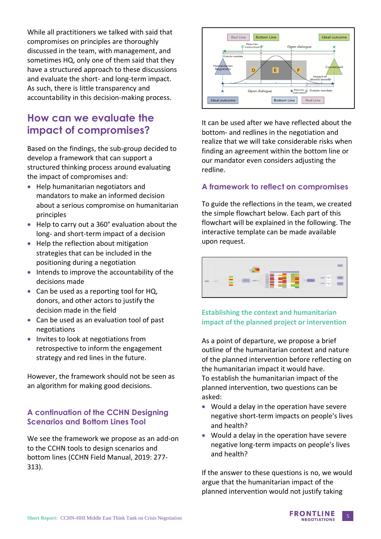While all practitioners we talked with said that compromises on principles are thoroughly discussed in the team, with management, and sometimes HQ, only one of them said that they have a structured approach to these discussions and evaluate the short- and long-term impact. As such, there is little transparency and accountability in this decision-making process.

# **How can we evaluate the impact of compromises?**

Based on the findings, the sub-group decided to develop a framework that can support a structured thinking process around evaluating the impact of compromises and:

- Help humanitarian negotiators and mandators to make an informed decision about a serious compromise on humanitarian principles
- Help to carry out a 360° evaluation about the long- and short-term impact of a decision
- Help the reflection about mitigation strategies that can be included in the positioning during a negotiation
- Intends to improve the accountability of the decisions made
- Can be used as a reporting tool for HQ, donors, and other actors to justify the decision made in the field
- Can be used as an evaluation tool of past negotiations
- Invites to look at negotiations from retrospective to inform the engagement strategy and red lines in the future.

However, the framework should not be seen as an algorithm for making good decisions.

## **A continuation of the CCHN Designing Scenarios and Bottom Lines Tool**

We see the framework we propose as an add-on to the CCHN tools to design scenarios and bottom lines (CCHN Field Manual, 2019: 277- 313).



It can be used after we have reflected about the bottom- and redlines in the negotiation and realize that we will take considerable risks when finding an agreement within the bottom line or our mandator even considers adjusting the redline.

## **A framework to reflect on compromises**

To guide the reflections in the team, we created the simple flowchart below. Each part of this flowchart will be explained in the following. The interactive template can be made available upon request.



### **Establishing the context and humanitarian impact of the planned project or intervention**

As a point of departure, we propose a brief outline of the humanitarian context and nature of the planned intervention before reflecting on the humanitarian impact it would have. To establish the humanitarian impact of the planned intervention, two questions can be asked:

- Would a delay in the operation have severe negative short-term impacts on people's lives and health?
- Would a delay in the operation have severe negative long-term impacts on people's lives and health?

If the answer to these questions is no, we would argue that the humanitarian impact of the planned intervention would not justify taking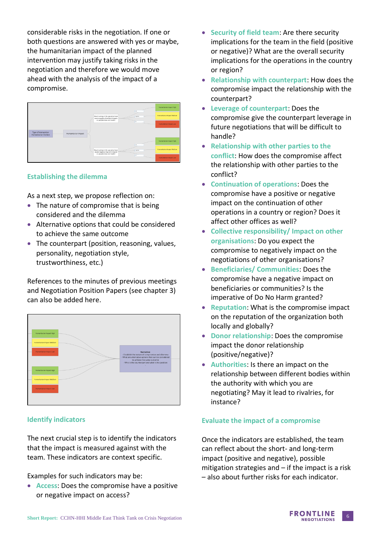considerable risks in the negotiation. If one or both questions are answered with yes or maybe, the humanitarian impact of the planned intervention may justify taking risks in the negotiation and therefore we would move ahead with the analysis of the impact of a compromise.

|                                                                            |  |                                                                                                            | $\mathbb{R}^m$  | Humanitarian Impact High   |
|----------------------------------------------------------------------------|--|------------------------------------------------------------------------------------------------------------|-----------------|----------------------------|
|                                                                            |  | Would a delay in the operation have<br>severe negative short term impacts<br>on people's lives and health? | <b>Pagte be</b> | Humanitarian Impact Medium |
|                                                                            |  |                                                                                                            | Teo             | Humanitarian Impact Low    |
| Type of Intervention<br>Humanitarian Impact<br><b>Humanitarian Context</b> |  |                                                                                                            |                 |                            |
|                                                                            |  |                                                                                                            | I-m             | Humanitarian Impact High   |
|                                                                            |  | Would a delay in the operation have<br>severe negative long term impacts'<br>on people's lives and health? | engte be        | Humanitarian Impact Medium |
|                                                                            |  |                                                                                                            | 1 <sup>o</sup>  | Humanitarian Impact Low    |

#### **Establishing the dilemma**

As a next step, we propose reflection on:

- The nature of compromise that is being considered and the dilemma
- Alternative options that could be considered to achieve the same outcome
- The counterpart (position, reasoning, values, personality, negotiation style, trustworthiness, etc.)

References to the minutes of previous meetings and Negotiation Position Papers (see chapter 3) can also be added here.



#### **Identify indicators**

The next crucial step is to identify the indicators that the impact is measured against with the team. These indicators are context specific.

Examples for such indicators may be:

• **Access**: Does the compromise have a positive or negative impact on access?

- **Security of field team**: Are there security implications for the team in the field (positive or negative)? What are the overall security implications for the operations in the country or region?
- **Relationship with counterpart**: How does the compromise impact the relationship with the counterpart?
- **Leverage of counterpart**: Does the compromise give the counterpart leverage in future negotiations that will be difficult to handle?
- **Relationship with other parties to the conflict**: How does the compromise affect the relationship with other parties to the conflict?
- **Continuation of operations**: Does the compromise have a positive or negative impact on the continuation of other operations in a country or region? Does it affect other offices as well?
- **Collective responsibility/ Impact on other organisations**: Do you expect the compromise to negatively impact on the negotiations of other organisations?
- **Beneficiaries/ Communities**: Does the compromise have a negative impact on beneficiaries or communities? Is the imperative of Do No Harm granted?
- **Reputation**: What is the compromise impact on the reputation of the organization both locally and globally?
- **Donor relationship**: Does the compromise impact the donor relationship (positive/negative)?
- **Authorities**: Is there an impact on the relationship between different bodies within the authority with which you are negotiating? May it lead to rivalries, for instance?

#### **Evaluate the impact of a compromise**

Once the indicators are established, the team can reflect about the short- and long-term impact (positive and negative), possible mitigation strategies and  $-$  if the impact is a risk – also about further risks for each indicator.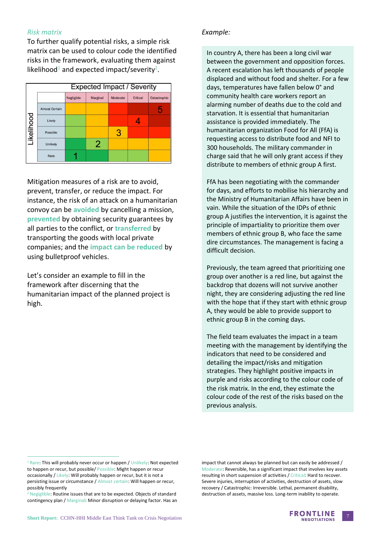#### *Risk matrix*

To further qualify potential risks, a simple risk matrix can be used to colour code the identified risks in the framework, evaluating them against likelihood<sup>1</sup> and expected impact/severity<sup>2</sup>.

| <b>Expected Impact / Severity</b> |                       |            |          |          |          |              |  |  |
|-----------------------------------|-----------------------|------------|----------|----------|----------|--------------|--|--|
|                                   |                       | Negligible | Marginal | Moderate | Critical | Catastrophic |  |  |
| Likelihood                        | <b>Almost Certain</b> |            |          |          |          | 5            |  |  |
|                                   | Likely                |            |          |          |          |              |  |  |
|                                   | Possible              |            |          |          |          |              |  |  |
|                                   | <b>Unlikely</b>       |            | 2        |          |          |              |  |  |
|                                   | Rare                  |            |          |          |          |              |  |  |

Mitigation measures of a risk are to avoid, prevent, transfer, or reduce the impact. For instance, the risk of an attack on a humanitarian convoy can be **avoided** by cancelling a mission, **prevented** by obtaining security guarantees by all parties to the conflict, or **transferred** by transporting the goods with local private companies; and the **impact can be reduced** by using bulletproof vehicles.

Let's consider an example to fill in the framework after discerning that the humanitarian impact of the planned project is high.

#### *Example:*

In country A, there has been a long civil war between the government and opposition forces. A recent escalation has left thousands of people displaced and without food and shelter. For a few days, temperatures have fallen below 0° and community health care workers report an alarming number of deaths due to the cold and starvation. It is essential that humanitarian assistance is provided immediately. The humanitarian organization Food for All (FfA) is requesting access to distribute food and NFI to 300 households. The military commander in charge said that he will only grant access if they distribute to members of ethnic group A first.

FfA has been negotiating with the commander for days, and efforts to mobilise his hierarchy and the Ministry of Humanitarian Affairs have been in vain. While the situation of the IDPs of ethnic group A justifies the intervention, it is against the principle of impartiality to prioritize them over members of ethnic group B, who face the same dire circumstances. The management is facing a difficult decision.

Previously, the team agreed that prioritizing one group over another is a red line, but against the backdrop that dozens will not survive another night, they are considering adjusting the red line with the hope that if they start with ethnic group A, they would be able to provide support to ethnic group B in the coming days.

The field team evaluates the impact in a team meeting with the management by identifying the indicators that need to be considered and detailing the impact/risks and mitigation strategies. They highlight positive impacts in purple and risks according to the colour code of the risk matrix. In the end, they estimate the colour code of the rest of the risks based on the previous analysis.

impact that cannot always be planned but can easily be addressed / Moderate: Reversible, has a significant impact that involves key assets resulting in short suspension of activities / Critical: Hard to recover. Severe injuries, interruption of activities, destruction of assets, slow recovery / Catastrophic: Irreversible. Lethal, permanent disability, destruction of assets, massive loss. Long-term inability to operate.



<sup>&</sup>lt;sup>1</sup> Rare: This will probably never occur or happen / Unlikely: Not expected to happen or recur, but possible/ Possible: Might happen or recur occasionally / Likely: Will probably happen or recur, but it is not a persisting issue or circumstance / Almost certain: Will happen or recur, possibly frequently

<sup>&</sup>lt;sup>2</sup> Negiglible: Routine issues that are to be expected. Objects of standard contingency plan / Marginal: Minor disruption or delaying factor. Has an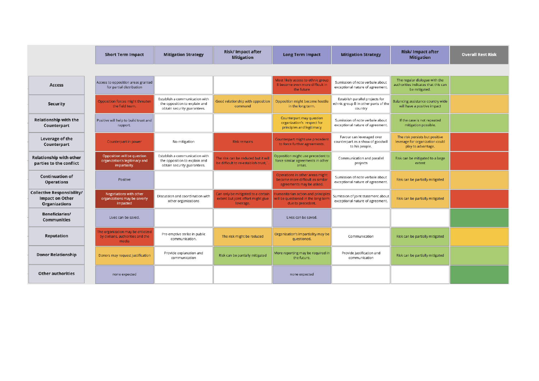|                                                                                     | <b>Short Term Impact</b>                                                         | <b>Mitigation Strategy</b>                                                                     | Risk/ Impact after<br><b>Mitigation</b>                                               | <b>Long Term Impact</b>                                                                         | <b>Mitigation Strategy</b>                                                         | <b>Risk/Impact after</b><br><b>Mitigation</b>                                           | <b>Overall Rest Risk</b> |
|-------------------------------------------------------------------------------------|----------------------------------------------------------------------------------|------------------------------------------------------------------------------------------------|---------------------------------------------------------------------------------------|-------------------------------------------------------------------------------------------------|------------------------------------------------------------------------------------|-----------------------------------------------------------------------------------------|--------------------------|
|                                                                                     |                                                                                  |                                                                                                |                                                                                       |                                                                                                 |                                                                                    |                                                                                         |                          |
| <b>Access</b>                                                                       | Access to opposition areas granted<br>for partial distribution                   |                                                                                                |                                                                                       | Most likely access to ethnic group<br>B become even more difficult in<br>the future             | Sumission of note verbale about<br>exceptional nature of agreement.                | The regular dialogue with the<br>authorities indicates that this can<br>be mitigated.   |                          |
| <b>Security</b>                                                                     | Opposition forces might threaten<br>the field team.                              | Establish a communication with<br>the opposition to explain and<br>obtain security guarantees. | Good relationship with opposition<br>command                                          | Opposition might become hostile<br>in the long term.                                            | Establish parallel projects for<br>ethnic group B in other parts of the<br>country | Balancing assistance country wide<br>will have a positive impact                        |                          |
| <b>Relationship with the</b><br>Counterpart                                         | Positive will help to build trust and<br>rapport.                                |                                                                                                |                                                                                       | Counterpart may question<br>organization's respect for<br>principles and legitimacy             | Sumission of note verbale about<br>exceptional nature of agreement.                | If the case is not repeated<br>mitigation possible.                                     |                          |
| Leverage of the<br>Counterpart                                                      | Counterpart in power                                                             | No mitigation                                                                                  | <b>Risk remains</b>                                                                   | Counterpart might use precedent<br>to force further agreements.                                 | Favour can leveraged over<br>counterpart as a show of goodwill<br>to his people.   | The risk persists but positive<br>leverage for organization could<br>play to advantage. |                          |
| <b>Relationship with other</b><br>parties to the conflict                           | Opposition will be question<br>organization's legitimacy and<br>impartiality.    | Establish a communication with<br>the opposition to explain and<br>obtain security guarantees. | The risk can be reduced but it wil<br>be difficult to re-establish trust,"            | Opposition might use precedent to<br>force similar agreements in other<br>areas.                | Communication and parallel<br>projects                                             | Risk can be mitigated to a large<br>extent                                              |                          |
| <b>Continuation of</b><br><b>Operations</b>                                         | Positive                                                                         |                                                                                                |                                                                                       | Operations in other areas might<br>become more difficult as similar<br>agreements may be asked. | Sumission of note verbale about<br>exceptional nature of agreement.                | Risk can be partially mitigated                                                         |                          |
| <b>Collective Responsibility/</b><br><b>Impact on Other</b><br><b>Organizations</b> | Negotiations with other<br>organizations may be severly<br>impacted              | Discussion and coordination with<br>other organizations                                        | Can only be mitigated to a certain<br>extent but joint effort might give<br>leverage. | lumanitarian action and principle<br>vill be questioned in the long tern<br>due to precedent.   | Sumission of joint statement about<br>exceptional nature of agreement.             | Risk can be partially mitigated                                                         |                          |
| <b>Beneficiaries/</b><br><b>Communities</b>                                         | Lives can be saved.                                                              |                                                                                                |                                                                                       | Lives can be saved.                                                                             |                                                                                    |                                                                                         |                          |
| <b>Reputation</b>                                                                   | The organization may be criticized<br>by civilians, authorities and the<br>media | Pre-emptive strike in public<br>communication.                                                 | The risk might be reduced                                                             | Organization's impartiality may be<br>questioned.                                               | Communication                                                                      | Risk can be partially mitigated                                                         |                          |
| <b>Donor Relationship</b>                                                           | Donors may request justification                                                 | Provide explanation and<br>communication                                                       | Risk can be partially mitigated                                                       | More reporting may be required in<br>the future.                                                | Provide justification and<br>communication                                         | Risk can be partially mitigated                                                         |                          |
| <b>Other authorities</b>                                                            | none expected                                                                    |                                                                                                |                                                                                       | none expected                                                                                   |                                                                                    |                                                                                         |                          |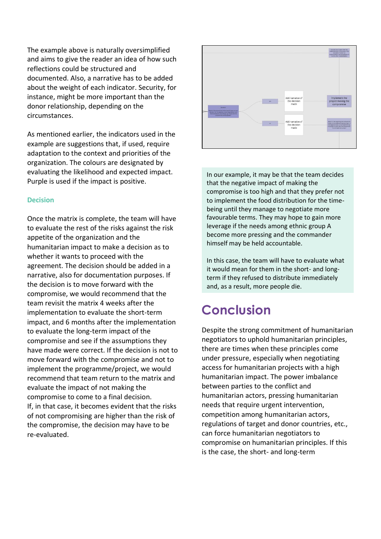The example above is naturally oversimplified and aims to give the reader an idea of how such reflections could be structured and documented. Also, a narrative has to be added about the weight of each indicator. Security, for instance, might be more important than the donor relationship, depending on the circumstances.

As mentioned earlier, the indicators used in the example are suggestions that, if used, require adaptation to the context and priorities of the organization. The colours are designated by evaluating the likelihood and expected impact. Purple is used if the impact is positive.

#### **Decision**

Once the matrix is complete, the team will have to evaluate the rest of the risks against the risk appetite of the organization and the humanitarian impact to make a decision as to whether it wants to proceed with the agreement. The decision should be added in a narrative, also for documentation purposes. If the decision is to move forward with the compromise, we would recommend that the team revisit the matrix 4 weeks after the implementation to evaluate the short-term impact, and 6 months after the implementation to evaluate the long-term impact of the compromise and see if the assumptions they have made were correct. If the decision is not to move forward with the compromise and not to implement the programme/project, we would recommend that team return to the matrix and evaluate the impact of not making the compromise to come to a final decision. If, in that case, it becomes evident that the risks of not compromising are higher than the risk of the compromise, the decision may have to be re-evaluated.



In our example, it may be that the team decides that the negative impact of making the compromise is too high and that they prefer not to implement the food distribution for the timebeing until they manage to negotiate more favourable terms. They may hope to gain more leverage if the needs among ethnic group A become more pressing and the commander himself may be held accountable.

In this case, the team will have to evaluate what it would mean for them in the short- and longterm if they refused to distribute immediately and, as a result, more people die.

# **Conclusion**

Despite the strong commitment of humanitarian negotiators to uphold humanitarian principles, there are times when these principles come under pressure, especially when negotiating access for humanitarian projects with a high humanitarian impact. The power imbalance between parties to the conflict and humanitarian actors, pressing humanitarian needs that require urgent intervention, competition among humanitarian actors, regulations of target and donor countries, etc., can force humanitarian negotiators to compromise on humanitarian principles. If this is the case, the short- and long-term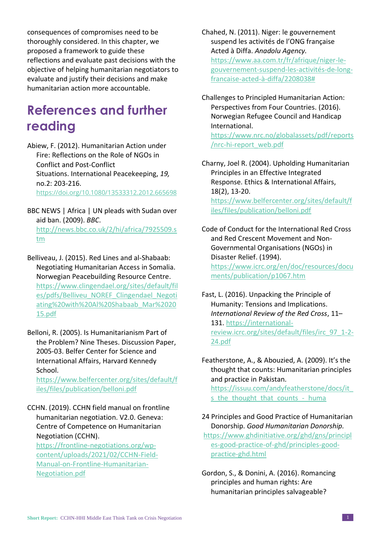consequences of compromises need to be thoroughly considered. In this chapter, we proposed a framework to guide these reflections and evaluate past decisions with the objective of helping humanitarian negotiators to evaluate and justify their decisions and make humanitarian action more accountable.

# **References and further reading**

Abiew, F. (2012). Humanitarian Action under Fire: Reflections on the Role of NGOs in Conflict and Post-Conflict Situations. International Peacekeeping, *19,*  no.2: 203-216. <https://doi.org/10.1080/13533312.2012.665698>

- BBC NEWS | Africa | UN pleads with Sudan over aid ban. (2009). *BBC*. [http://news.bbc.co.uk/2/hi/africa/7925509.s](http://news.bbc.co.uk/2/hi/africa/7925509.stm) [tm](http://news.bbc.co.uk/2/hi/africa/7925509.stm)
- Belliveau, J. (2015). Red Lines and al-Shabaab: Negotiating Humanitarian Access in Somalia. Norwegian Peacebuilding Resource Centre. [https://www.clingendael.org/sites/default/fil](https://www.clingendael.org/sites/default/files/pdfs/Belliveu_NOREF_Clingendael_Negotiating%20with%20Al%20Shabaab_Mar%202015.pdf) [es/pdfs/Belliveu\\_NOREF\\_Clingendael\\_Negoti](https://www.clingendael.org/sites/default/files/pdfs/Belliveu_NOREF_Clingendael_Negotiating%20with%20Al%20Shabaab_Mar%202015.pdf) [ating%20with%20Al%20Shabaab\\_Mar%2020](https://www.clingendael.org/sites/default/files/pdfs/Belliveu_NOREF_Clingendael_Negotiating%20with%20Al%20Shabaab_Mar%202015.pdf) [15.pdf](https://www.clingendael.org/sites/default/files/pdfs/Belliveu_NOREF_Clingendael_Negotiating%20with%20Al%20Shabaab_Mar%202015.pdf)
- Belloni, R. (2005). Is Humanitarianism Part of the Problem? Nine Theses. Discussion Paper, 2005-03. Belfer Center for Science and International Affairs, Harvard Kennedy School.

[https://www.belfercenter.org/sites/default/f](https://www.belfercenter.org/sites/default/files/files/publication/belloni.pdf) [iles/files/publication/belloni.pdf](https://www.belfercenter.org/sites/default/files/files/publication/belloni.pdf)

CCHN. (2019). CCHN field manual on frontline humanitarian negotiation. V2.0. Geneva: Centre of Competence on Humanitarian Negotiation (CCHN). [https://frontline-negotiations.org/wp](https://frontline-negotiations.org/wp-content/uploads/2021/02/CCHN-Field-Manual-on-Frontline-Humanitarian-Negotiation.pdf)[content/uploads/2021/02/CCHN-Field-](https://frontline-negotiations.org/wp-content/uploads/2021/02/CCHN-Field-Manual-on-Frontline-Humanitarian-Negotiation.pdf)

[Manual-on-Frontline-Humanitarian-](https://frontline-negotiations.org/wp-content/uploads/2021/02/CCHN-Field-Manual-on-Frontline-Humanitarian-Negotiation.pdf)[Negotiation.pdf](https://frontline-negotiations.org/wp-content/uploads/2021/02/CCHN-Field-Manual-on-Frontline-Humanitarian-Negotiation.pdf)

Chahed, N. (2011). Niger: le gouvernement suspend les activités de l'ONG française Acted à Diffa. *Anadolu Agency.*  [https://www.aa.com.tr/fr/afrique/niger-le](https://www.aa.com.tr/fr/afrique/niger-le-gouvernement-suspend-les-activités-de-long-francaise-acted-à-diffa/2208038)[gouvernement-suspend-les-activités-de-long](https://www.aa.com.tr/fr/afrique/niger-le-gouvernement-suspend-les-activités-de-long-francaise-acted-à-diffa/2208038)[francaise-acted-à-diffa/2208038#](https://www.aa.com.tr/fr/afrique/niger-le-gouvernement-suspend-les-activités-de-long-francaise-acted-à-diffa/2208038)

Challenges to Principled Humanitarian Action: Perspectives from Four Countries. (2016). Norwegian Refugee Council and Handicap International.

[https://www.nrc.no/globalassets/pdf/reports](https://www.nrc.no/globalassets/pdf/reports/nrc-hi-report_web.pdf) [/nrc-hi-report\\_web.pdf](https://www.nrc.no/globalassets/pdf/reports/nrc-hi-report_web.pdf)

Charny, Joel R. (2004). Upholding Humanitarian Principles in an Effective Integrated Response. Ethics & International Affairs, 18(2), 13-20. [https://www.belfercenter.org/sites/default/f](https://www.belfercenter.org/sites/default/files/files/publication/belloni.pdf) [iles/files/publication/belloni.pdf](https://www.belfercenter.org/sites/default/files/files/publication/belloni.pdf)

Code of Conduct for the International Red Cross and Red Crescent Movement and Non-Governmental Organisations (NGOs) in Disaster Relief. (1994). [https://www.icrc.org/en/doc/resources/docu](https://www.icrc.org/en/doc/resources/documents/publication/p1067.htm) [ments/publication/p1067.htm](https://www.icrc.org/en/doc/resources/documents/publication/p1067.htm)

Fast, L. (2016). Unpacking the Principle of Humanity: Tensions and Implications. *International Review of the Red Cross*, 11– 131. [https://international](https://international-review.icrc.org/sites/default/files/irc_97_1-2-24.pdf)[review.icrc.org/sites/default/files/irc\\_97\\_1-2-](https://international-review.icrc.org/sites/default/files/irc_97_1-2-24.pdf) [24.pdf](https://international-review.icrc.org/sites/default/files/irc_97_1-2-24.pdf)

Featherstone, A., & Abouzied, A. (2009). It's the thought that counts: Humanitarian principles and practice in Pakistan. [https://issuu.com/andyfeatherstone/docs/it\\_](https://issuu.com/andyfeatherstone/docs/it_s_the_thought_that_counts_-_huma) s the thought that counts - huma

- 24 Principles and Good Practice of Humanitarian Donorship. *Good Humanitarian Donorship.* [https://www.ghdinitiative.org/ghd/gns/principl](https://www.ghdinitiative.org/ghd/gns/principles-good-practice-of-ghd/principles-good-practice-ghd.html) [es-good-practice-of-ghd/principles-good](https://www.ghdinitiative.org/ghd/gns/principles-good-practice-of-ghd/principles-good-practice-ghd.html)[practice-ghd.html](https://www.ghdinitiative.org/ghd/gns/principles-good-practice-of-ghd/principles-good-practice-ghd.html)
- Gordon, S., & Donini, A. (2016). Romancing principles and human rights: Are humanitarian principles salvageable?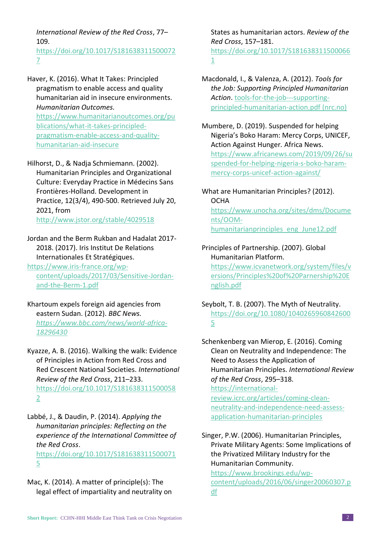*International Review of the Red Cross*, 77– 109.

[https://doi.org/10.1017/S181638311500072](https://doi.org/10.1017/S1816383115000727) [7](https://doi.org/10.1017/S1816383115000727)

Haver, K. (2016). What It Takes: Principled pragmatism to enable access and quality humanitarian aid in insecure environments. *Humanitarian Outcomes.*  [https://www.humanitarianoutcomes.org/pu](https://www.humanitarianoutcomes.org/publications/what-it-takes-principled-pragmatism-enable-access-and-quality-humanitarian-aid-insecure) [blications/what-it-takes-principled](https://www.humanitarianoutcomes.org/publications/what-it-takes-principled-pragmatism-enable-access-and-quality-humanitarian-aid-insecure)[pragmatism-enable-access-and-quality](https://www.humanitarianoutcomes.org/publications/what-it-takes-principled-pragmatism-enable-access-and-quality-humanitarian-aid-insecure)[humanitarian-aid-insecure](https://www.humanitarianoutcomes.org/publications/what-it-takes-principled-pragmatism-enable-access-and-quality-humanitarian-aid-insecure)

Hilhorst, D., & Nadja Schmiemann. (2002). Humanitarian Principles and Organizational Culture: Everyday Practice in Médecins Sans Frontières-Holland. Development in Practice, 12(3/4), 490-500. Retrieved July 20, 2021, from

<http://www.jstor.org/stable/4029518>

- Jordan and the Berm Rukban and Hadalat 2017- 2018. (2017). Iris Institut De Relations Internationales Et Stratégiques.
- [https://www.iris-france.org/wp](https://www.iris-france.org/wp-content/uploads/2017/03/Sensitive-Jordan-and-the-Berm-1.pdf)[content/uploads/2017/03/Sensitive-Jordan](https://www.iris-france.org/wp-content/uploads/2017/03/Sensitive-Jordan-and-the-Berm-1.pdf)[and-the-Berm-1.pdf](https://www.iris-france.org/wp-content/uploads/2017/03/Sensitive-Jordan-and-the-Berm-1.pdf)
- Khartoum expels foreign aid agencies from eastern Sudan. (2012). *BBC News. [https://www.bbc.com/news/world-africa-](https://www.bbc.com/news/world-africa-18296430)[18296430](https://www.bbc.com/news/world-africa-18296430)*
- Kyazze, A. B. (2016). Walking the walk: Evidence of Principles in Action from Red Cross and Red Crescent National Societies. *International Review of the Red Cross*, 211–233. [https://doi.org/10.1017/S181638311500058](https://doi.org/10.1017/S1816383115000582) [2](https://doi.org/10.1017/S1816383115000582)
- Labbé, J., & Daudin, P. (2014). *Applying the humanitarian principles: Reflecting on the experience of the International Committee of the Red Cross*.

[https://doi.org/10.1017/S181638311500071](https://doi.org/10.1017/S1816383115000715) [5](https://doi.org/10.1017/S1816383115000715)

Mac, K. (2014). A matter of principle(s): The legal effect of impartiality and neutrality on States as humanitarian actors. *Review of the Red Cross*, 157–181. [https://doi.org/10.1017/S181638311500066](https://doi.org/10.1017/S1816383115000661) [1](https://doi.org/10.1017/S1816383115000661)

Macdonald, I., & Valenza, A. (2012). *Tools for the Job: Supporting Principled Humanitarian Action*. [tools-for-the-job---supporting](https://www.nrc.no/globalassets/pdf/reports/tools-for-the-job---supporting-principled-humanitarian-action.pdf)[principled-humanitarian-action.pdf \(nrc.no\)](https://www.nrc.no/globalassets/pdf/reports/tools-for-the-job---supporting-principled-humanitarian-action.pdf)

Mumbere, D. (2019). Suspended for helping Nigeria's Boko Haram: Mercy Corps, UNICEF, Action Against Hunger*.* Africa News. [https://www.africanews.com/2019/09/26/su](https://www.africanews.com/2019/09/26/suspended-for-helping-nigeria-s-boko-haram-mercy-corps-unicef-action-against/) [spended-for-helping-nigeria-s-boko-haram](https://www.africanews.com/2019/09/26/suspended-for-helping-nigeria-s-boko-haram-mercy-corps-unicef-action-against/)[mercy-corps-unicef-action-against/](https://www.africanews.com/2019/09/26/suspended-for-helping-nigeria-s-boko-haram-mercy-corps-unicef-action-against/)

What are Humanitarian Principles? (2012). **OCHA** [https://www.unocha.org/sites/dms/Docume](https://www.unocha.org/sites/dms/Documents/OOM-humanitarianprinciples_eng_June12.pdf) [nts/OOM](https://www.unocha.org/sites/dms/Documents/OOM-humanitarianprinciples_eng_June12.pdf)[humanitarianprinciples\\_eng\\_June12.pdf](https://www.unocha.org/sites/dms/Documents/OOM-humanitarianprinciples_eng_June12.pdf)

- Principles of Partnership. (2007). Global Humanitarian Platform. [https://www.icvanetwork.org/system/files/v](https://www.icvanetwork.org/system/files/versions/Principles%20of%20Parnership%20English.pdf) [ersions/Principles%20of%20Parnership%20E](https://www.icvanetwork.org/system/files/versions/Principles%20of%20Parnership%20English.pdf) [nglish.pdf](https://www.icvanetwork.org/system/files/versions/Principles%20of%20Parnership%20English.pdf)
- Seybolt, T. B. (2007). The Myth of Neutrality. [https://doi.org/10.1080/1040265960842600](https://doi.org/10.1080/10402659608426005) [5](https://doi.org/10.1080/10402659608426005)
- Schenkenberg van Mierop, E. (2016). Coming Clean on Neutrality and Independence: The Need to Assess the Application of Humanitarian Principles. *International Review of the Red Cross*, 295–318. [https://international](https://international-review.icrc.org/articles/coming-clean-neutrality-and-independence-need-assess-application-humanitarian-principles)[review.icrc.org/articles/coming-clean](https://international-review.icrc.org/articles/coming-clean-neutrality-and-independence-need-assess-application-humanitarian-principles)[neutrality-and-independence-need-assess](https://international-review.icrc.org/articles/coming-clean-neutrality-and-independence-need-assess-application-humanitarian-principles)[application-humanitarian-principles](https://international-review.icrc.org/articles/coming-clean-neutrality-and-independence-need-assess-application-humanitarian-principles)
- Singer, P.W. (2006). Humanitarian Principles, Private Military Agents: Some Implications of the Privatized Military Industry for the Humanitarian Community.

[https://www.brookings.edu/wp](https://www.brookings.edu/wp-content/uploads/2016/06/singer20060307.pdf)[content/uploads/2016/06/singer20060307.p](https://www.brookings.edu/wp-content/uploads/2016/06/singer20060307.pdf) [df](https://www.brookings.edu/wp-content/uploads/2016/06/singer20060307.pdf)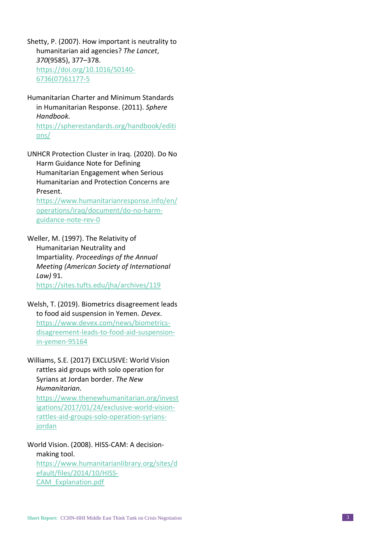Shetty, P. (2007). How important is neutrality to humanitarian aid agencies? *The Lancet*, *370* (9585), 377 –378 . [https://doi.org/10.1016/S0140](https://doi.org/10.1016/S0140-6736(07)61177-5) - [6736\(07\)61177](https://doi.org/10.1016/S0140-6736(07)61177-5) - 5

Humanitarian Charter and Minimum Standards in Humanitarian Response . (2011). *Sphere Handbook .* [https://spherestandards.org/handbook/editi](https://spherestandards.org/handbook/editions/) [ons/](https://spherestandards.org/handbook/editions/)

UNHCR Protection Cluster in Iraq. (2020) . Do No Harm Guidance Note for Defining Humanitarian Engagement when Serious Humanitarian and Protection Concerns are Present .

[https://www.humanitarianresponse.info/en/](https://www.humanitarianresponse.info/en/operations/iraq/document/do-no-harm-guidance-note-rev-0) [operations/iraq/document/do](https://www.humanitarianresponse.info/en/operations/iraq/document/do-no-harm-guidance-note-rev-0) -no -harm [guidance](https://www.humanitarianresponse.info/en/operations/iraq/document/do-no-harm-guidance-note-rev-0)-note-rev-0

Weller, M. (1997) . The Relativity of Humanitarian Neutrality and Impartiality. *Proceedings of the Annual Meeting (American Society of International Law)* 91 . <https://sites.tufts.edu/jha/archives/119>

Welsh, T. (2019). Biometrics disagreement leads to food aid suspension in Yemen *. Devex*. [https://www.devex.com/news/biometrics](https://www.devex.com/news/biometrics-disagreement-leads-to-food-aid-suspension-in-yemen-95164) [disagreement](https://www.devex.com/news/biometrics-disagreement-leads-to-food-aid-suspension-in-yemen-95164) -leads -to -food -aid -suspension in [-yemen](https://www.devex.com/news/biometrics-disagreement-leads-to-food-aid-suspension-in-yemen-95164) -95164

Williams, S.E. (2017) EXCLUSIVE: World Vision rattles aid groups with solo operation for Syrians at Jordan border . *The New Humanitarian .*

[https://www.thenewhumanitarian.org/invest](https://www.thenewhumanitarian.org/investigations/2017/01/24/exclusive-world-vision-rattles-aid-groups-solo-operation-syrians-jordan) [igations/2017/01/24/exclusive](https://www.thenewhumanitarian.org/investigations/2017/01/24/exclusive-world-vision-rattles-aid-groups-solo-operation-syrians-jordan)-world-visionrattles -aid -groups -solo - [operation](https://www.thenewhumanitarian.org/investigations/2017/01/24/exclusive-world-vision-rattles-aid-groups-solo-operation-syrians-jordan) -syrians [jordan](https://www.thenewhumanitarian.org/investigations/2017/01/24/exclusive-world-vision-rattles-aid-groups-solo-operation-syrians-jordan)

World Vision. (2008). HISS-CAM: A decisionmaking tool. [https://www.humanitarianlibrary.org/sites/d](https://www.humanitarianlibrary.org/sites/default/files/2014/10/HISS-CAM_Explanation.pdf) [efault/files/2014/10/HISS](https://www.humanitarianlibrary.org/sites/default/files/2014/10/HISS-CAM_Explanation.pdf) - [CAM\\_Explanation.pdf](https://www.humanitarianlibrary.org/sites/default/files/2014/10/HISS-CAM_Explanation.pdf)